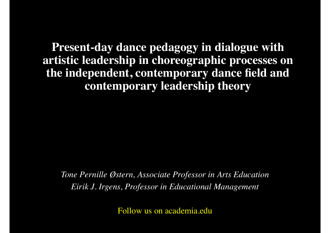**Present-day dance pedagogy in dialogue with artistic leadership in choreographic processes on the independent, contemporary dance field and contemporary leadership theory**

*Tone Pernille Østern, Associate Professor in Arts Education Eirik J. Irgens, Professor in Educational Management*

Follow us on academia.edu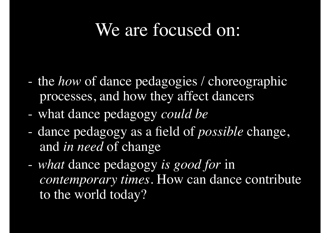### We are focused on:

- the *how* of dance pedagogies / choreographic processes, and how they affect dancers
- what dance pedagogy *could be*
- dance pedagogy as a field of *possible* change, and *in need* of change
- *what* dance pedagogy *is good for* in *contemporary times*. How can dance contribute to the world today?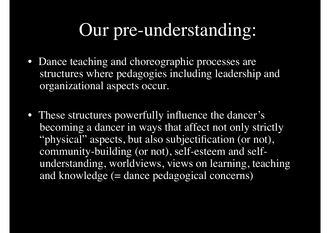## Our pre-understanding:

- Dance teaching and choreographic processes are structures where pedagogies including leadership and organizational aspects occur.
- These structures powerfully influence the dancer's becoming a dancer in ways that affect not only strictly "physical" aspects, but also subjectification (or not), community-building (or not), self-esteem and selfunderstanding, worldviews, views on learning, teaching and knowledge (= dance pedagogical concerns)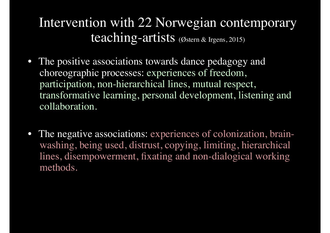#### Intervention with 22 Norwegian contemporary teaching-artists (Østern & Irgens, 2015)

- The positive associations towards dance pedagogy and choreographic processes: experiences of freedom, participation, non-hierarchical lines, mutual respect, transformative learning, personal development, listening and collaboration.
- The negative associations: experiences of colonization, brainwashing, being used, distrust, copying, limiting, hierarchical lines, disempowerment, fixating and non-dialogical working methods.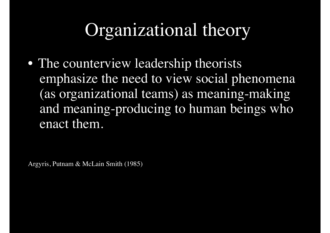## Organizational theory

• The counterview leadership theorists emphasize the need to view social phenomena (as organizational teams) as meaning-making and meaning-producing to human beings who enact them.

Argyris, Putnam & McLain Smith (1985)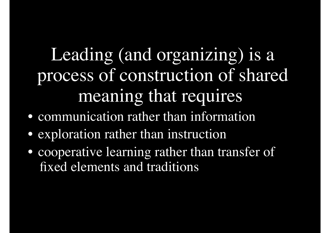# Leading (and organizing) is a process of construction of shared meaning that requires

- communication rather than information
- exploration rather than instruction
- cooperative learning rather than transfer of fixed elements and traditions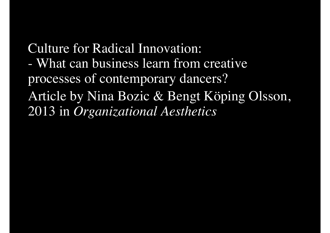Culture for Radical Innovation: - What can business learn from creative processes of contemporary dancers? Article by Nina Bozic & Bengt Köping Olsson, 2013 in *Organizational Aesthetics*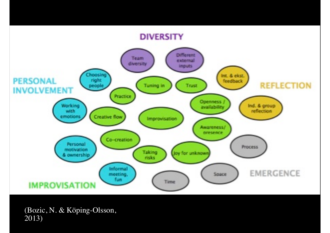#### **DIVERSITY**



(Bozic, N. & Köping-Olsson, 2013)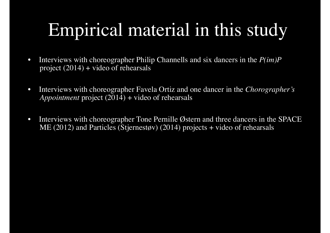# Empirical material in this study

- Interviews with choreographer Philip Channells and six dancers in the *P(im)P* project  $(2014)$  + video of rehearsals
- Interviews with choreographer Favela Ortiz and one dancer in the *Chorographer's Appointment* project (2014) + video of rehearsals
- Interviews with choreographer Tone Pernille Østern and three dancers in the SPACE ME (2012) and Particles (Stjernestøv) (2014) projects + video of rehearsals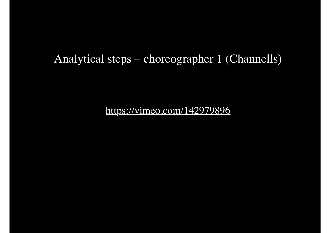#### Analytical steps – choreographer 1 (Channells)

https://vimeo.com/142979896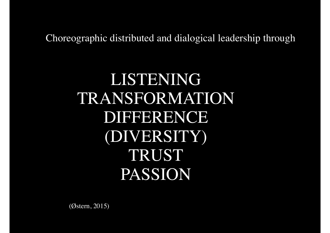Choreographic distributed and dialogical leadership through

#### LISTENING TRANSFORMATION DIFFERENCE (DIVERSITY) TRUST PASSION

(Østern, 2015)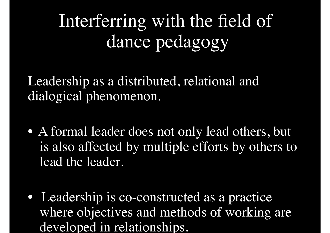# Interferring with the field of dance pedagogy

Leadership as a distributed, relational and dialogical phenomenon.

- A formal leader does not only lead others, but is also affected by multiple efforts by others to lead the leader.
- Leadership is co-constructed as a practice where objectives and methods of working are developed in relationships.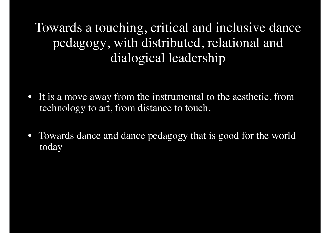Towards a touching, critical and inclusive dance pedagogy, with distributed, relational and dialogical leadership

- It is a move away from the instrumental to the aesthetic, from technology to art, from distance to touch.
- Towards dance and dance pedagogy that is good for the world today